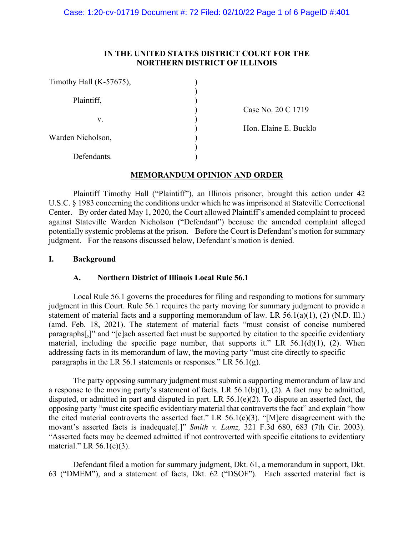### **IN THE UNITED STATES DISTRICT COURT FOR THE NORTHERN DISTRICT OF ILLINOIS**

| Timothy Hall (K-57675), |    |
|-------------------------|----|
|                         |    |
| Plaintiff,              |    |
|                         | ે: |
| V.                      |    |
|                         |    |
| Warden Nicholson,       |    |
|                         |    |
| Defendants.             |    |
|                         |    |

ase No. 20 C 1719

on. Elaine E. Bucklo

# **MEMORANDUM OPINION AND ORDER**

Plaintiff Timothy Hall ("Plaintiff"), an Illinois prisoner, brought this action under 42 U.S.C. § 1983 concerning the conditions under which he was imprisoned at Stateville Correctional Center. By order dated May 1, 2020, the Court allowed Plaintiff's amended complaint to proceed against Stateville Warden Nicholson ("Defendant") because the amended complaint alleged potentially systemic problems at the prison. Before the Court is Defendant's motion for summary judgment. For the reasons discussed below, Defendant's motion is denied.

# **I. Background**

# **A. Northern District of Illinois Local Rule 56.1**

 Local Rule 56.1 governs the procedures for filing and responding to motions for summary judgment in this Court. Rule 56.1 requires the party moving for summary judgment to provide a statement of material facts and a supporting memorandum of law. LR 56.1(a)(1), (2) (N.D. Ill.) (amd. Feb. 18, 2021). The statement of material facts "must consist of concise numbered paragraphs[,]" and "[e]ach asserted fact must be supported by citation to the specific evidentiary material, including the specific page number, that supports it." LR  $56.1(d)(1)$ , (2). When addressing facts in its memorandum of law, the moving party "must cite directly to specific paragraphs in the LR 56.1 statements or responses." LR 56.1(g).

 The party opposing summary judgment must submit a supporting memorandum of law and a response to the moving party's statement of facts. LR  $56.1(b)(1)$ , (2). A fact may be admitted, disputed, or admitted in part and disputed in part. LR 56.1(e)(2). To dispute an asserted fact, the opposing party "must cite specific evidentiary material that controverts the fact" and explain "how the cited material controverts the asserted fact." LR 56.1(e)(3). "[M]ere disagreement with the movant's asserted facts is inadequate[.]" *Smith v. Lamz,* 321 F.3d 680, 683 (7th Cir. 2003). "Asserted facts may be deemed admitted if not controverted with specific citations to evidentiary material." LR 56.1(e)(3).

 Defendant filed a motion for summary judgment, Dkt. 61, a memorandum in support, Dkt. 63 ("DMEM"), and a statement of facts, Dkt. 62 ("DSOF"). Each asserted material fact is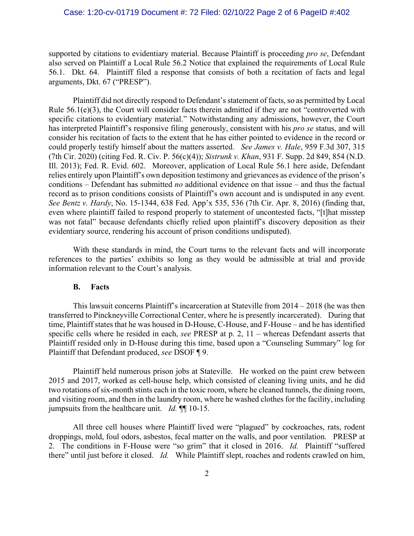supported by citations to evidentiary material. Because Plaintiff is proceeding *pro se*, Defendant also served on Plaintiff a Local Rule 56.2 Notice that explained the requirements of Local Rule 56.1. Dkt. 64. Plaintiff filed a response that consists of both a recitation of facts and legal arguments, Dkt. 67 ("PRESP").

Plaintiff did not directly respond to Defendant's statement of facts, so as permitted by Local Rule 56.1(e)(3), the Court will consider facts therein admitted if they are not "controverted with specific citations to evidentiary material." Notwithstanding any admissions, however, the Court has interpreted Plaintiff's responsive filing generously, consistent with his *pro se* status, and will consider his recitation of facts to the extent that he has either pointed to evidence in the record or could properly testify himself about the matters asserted. *See James v. Hale*, 959 F.3d 307, 315 (7th Cir. 2020) (citing Fed. R. Civ. P. 56(c)(4)); *Sistrunk v. Khan*, 931 F. Supp. 2d 849, 854 (N.D. Ill. 2013); Fed. R. Evid. 602. Moreover, application of Local Rule 56.1 here aside, Defendant relies entirely upon Plaintiff's own deposition testimony and grievances as evidence of the prison's conditions – Defendant has submitted *no* additional evidence on that issue – and thus the factual record as to prison conditions consists of Plaintiff's own account and is undisputed in any event. *See Bentz v. Hardy*, No. 15-1344, 638 Fed. App'x 535, 536 (7th Cir. Apr. 8, 2016) (finding that, even where plaintiff failed to respond properly to statement of uncontested facts, "[t]hat misstep was not fatal" because defendants chiefly relied upon plaintiff's discovery deposition as their evidentiary source, rendering his account of prison conditions undisputed).

With these standards in mind, the Court turns to the relevant facts and will incorporate references to the parties' exhibits so long as they would be admissible at trial and provide information relevant to the Court's analysis.

#### **B. Facts**

This lawsuit concerns Plaintiff's incarceration at Stateville from 2014 – 2018 (he was then transferred to Pinckneyville Correctional Center, where he is presently incarcerated). During that time, Plaintiff states that he was housed in D-House, C-House, and F-House – and he has identified specific cells where he resided in each, *see* PRESP at p. 2, 11 – whereas Defendant asserts that Plaintiff resided only in D-House during this time, based upon a "Counseling Summary" log for Plaintiff that Defendant produced, *see* DSOF ¶ 9.

Plaintiff held numerous prison jobs at Stateville. He worked on the paint crew between 2015 and 2017, worked as cell-house help, which consisted of cleaning living units, and he did two rotations of six-month stints each in the toxic room, where he cleaned tunnels, the dining room, and visiting room, and then in the laundry room, where he washed clothes for the facility, including jumpsuits from the healthcare unit. *Id.* ¶¶ 10-15.

All three cell houses where Plaintiff lived were "plagued" by cockroaches, rats, rodent droppings, mold, foul odors, asbestos, fecal matter on the walls, and poor ventilation. PRESP at 2. The conditions in F-House were "so grim" that it closed in 2016. *Id.* Plaintiff "suffered there" until just before it closed. *Id.* While Plaintiff slept, roaches and rodents crawled on him,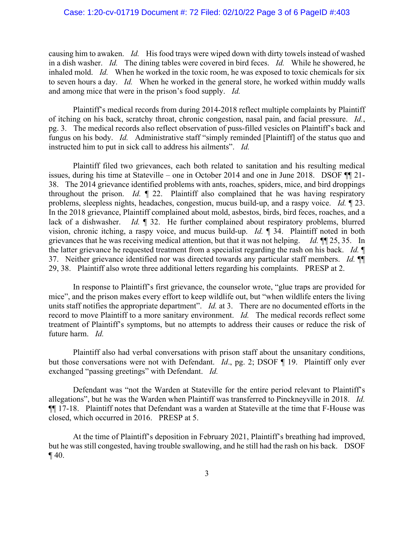# Case: 1:20-cv-01719 Document #: 72 Filed: 02/10/22 Page 3 of 6 PageID #:403

causing him to awaken. *Id.* His food trays were wiped down with dirty towels instead of washed in a dish washer. *Id.* The dining tables were covered in bird feces. *Id.* While he showered, he inhaled mold. *Id.* When he worked in the toxic room, he was exposed to toxic chemicals for six to seven hours a day. *Id.* When he worked in the general store, he worked within muddy walls and among mice that were in the prison's food supply. *Id.* 

Plaintiff's medical records from during 2014-2018 reflect multiple complaints by Plaintiff of itching on his back, scratchy throat, chronic congestion, nasal pain, and facial pressure. *Id.*, pg. 3. The medical records also reflect observation of puss-filled vesicles on Plaintiff's back and fungus on his body. *Id.* Administrative staff "simply reminded [Plaintiff] of the status quo and instructed him to put in sick call to address his ailments". *Id.* 

Plaintiff filed two grievances, each both related to sanitation and his resulting medical issues, during his time at Stateville – one in October 2014 and one in June 2018. DSOF ¶¶ 21- 38. The 2014 grievance identified problems with ants, roaches, spiders, mice, and bird droppings throughout the prison. *Id.* ¶ 22. Plaintiff also complained that he was having respiratory problems, sleepless nights, headaches, congestion, mucus build-up, and a raspy voice. *Id.* ¶ 23. In the 2018 grievance, Plaintiff complained about mold, asbestos, birds, bird feces, roaches, and a lack of a dishwasher. *Id.* 1 32. He further complained about respiratory problems, blurred vision, chronic itching, a raspy voice, and mucus build-up. *Id.* ¶ 34. Plaintiff noted in both grievances that he was receiving medical attention, but that it was not helping. *Id.* ¶¶ 25, 35. In the latter grievance he requested treatment from a specialist regarding the rash on his back. *Id.* ¶ 37. Neither grievance identified nor was directed towards any particular staff members. *Id.* ¶¶ 29, 38. Plaintiff also wrote three additional letters regarding his complaints. PRESP at 2.

In response to Plaintiff's first grievance, the counselor wrote, "glue traps are provided for mice", and the prison makes every effort to keep wildlife out, but "when wildlife enters the living units staff notifies the appropriate department". *Id.* at 3. There are no documented efforts in the record to move Plaintiff to a more sanitary environment. *Id.* The medical records reflect some treatment of Plaintiff's symptoms, but no attempts to address their causes or reduce the risk of future harm. *Id.* 

Plaintiff also had verbal conversations with prison staff about the unsanitary conditions, but those conversations were not with Defendant. *Id*., pg. 2; DSOF ¶ 19. Plaintiff only ever exchanged "passing greetings" with Defendant. *Id.*

Defendant was "not the Warden at Stateville for the entire period relevant to Plaintiff's allegations", but he was the Warden when Plaintiff was transferred to Pinckneyville in 2018. *Id.*  ¶¶ 17-18. Plaintiff notes that Defendant was a warden at Stateville at the time that F-House was closed, which occurred in 2016. PRESP at 5.

At the time of Plaintiff's deposition in February 2021, Plaintiff's breathing had improved, but he was still congested, having trouble swallowing, and he still had the rash on his back. DSOF  $\P$  40.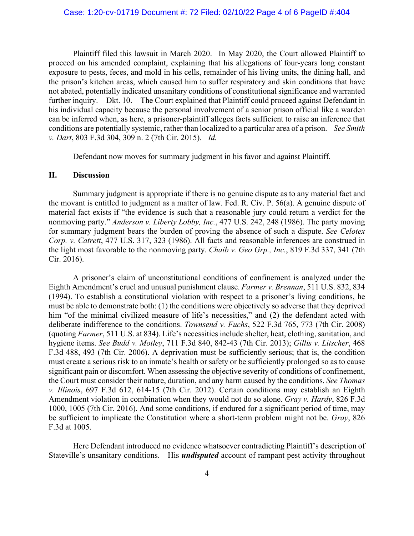Plaintiff filed this lawsuit in March 2020. In May 2020, the Court allowed Plaintiff to proceed on his amended complaint, explaining that his allegations of four-years long constant exposure to pests, feces, and mold in his cells, remainder of his living units, the dining hall, and the prison's kitchen areas, which caused him to suffer respiratory and skin conditions that have not abated, potentially indicated unsanitary conditions of constitutional significance and warranted further inquiry. Dkt. 10. The Court explained that Plaintiff could proceed against Defendant in his individual capacity because the personal involvement of a senior prison official like a warden can be inferred when, as here, a prisoner-plaintiff alleges facts sufficient to raise an inference that conditions are potentially systemic, rather than localized to a particular area of a prison. *See Smith v. Dart*, 803 F.3d 304, 309 n. 2 (7th Cir. 2015). *Id.* 

Defendant now moves for summary judgment in his favor and against Plaintiff.

### **II. Discussion**

 Summary judgment is appropriate if there is no genuine dispute as to any material fact and the movant is entitled to judgment as a matter of law. Fed. R. Civ. P. 56(a). A genuine dispute of material fact exists if "the evidence is such that a reasonable jury could return a verdict for the nonmoving party." *Anderson v. Liberty Lobby, Inc.*, 477 U.S. 242, 248 (1986). The party moving for summary judgment bears the burden of proving the absence of such a dispute. *See Celotex Corp. v. Catrett*, 477 U.S. 317, 323 (1986). All facts and reasonable inferences are construed in the light most favorable to the nonmoving party. *Chaib v. Geo Grp., Inc.*, 819 F.3d 337, 341 (7th Cir. 2016).

A prisoner's claim of unconstitutional conditions of confinement is analyzed under the Eighth Amendment's cruel and unusual punishment clause. *Farmer v. Brennan*, 511 U.S. 832, 834 (1994). To establish a constitutional violation with respect to a prisoner's living conditions, he must be able to demonstrate both: (1) the conditions were objectively so adverse that they deprived him "of the minimal civilized measure of life's necessities," and (2) the defendant acted with deliberate indifference to the conditions. *Townsend v. Fuchs*, 522 F.3d 765, 773 (7th Cir. 2008) (quoting *Farmer*, 511 U.S. at 834). Life's necessities include shelter, heat, clothing, sanitation, and hygiene items. *See Budd v. Motley*, 711 F.3d 840, 842-43 (7th Cir. 2013); *Gillis v. Litscher*, 468 F.3d 488, 493 (7th Cir. 2006). A deprivation must be sufficiently serious; that is, the condition must create a serious risk to an inmate's health or safety or be sufficiently prolonged so as to cause significant pain or discomfort. When assessing the objective severity of conditions of confinement, the Court must consider their nature, duration, and any harm caused by the conditions. *See Thomas v. Illinois*, 697 F.3d 612, 614-15 (7th Cir. 2012). Certain conditions may establish an Eighth Amendment violation in combination when they would not do so alone. *Gray v. Hardy*, 826 F.3d 1000, 1005 (7th Cir. 2016). And some conditions, if endured for a significant period of time, may be sufficient to implicate the Constitution where a short-term problem might not be. *Gray*, 826 F.3d at 1005.

Here Defendant introduced no evidence whatsoever contradicting Plaintiff's description of Stateville's unsanitary conditions. His *undisputed* account of rampant pest activity throughout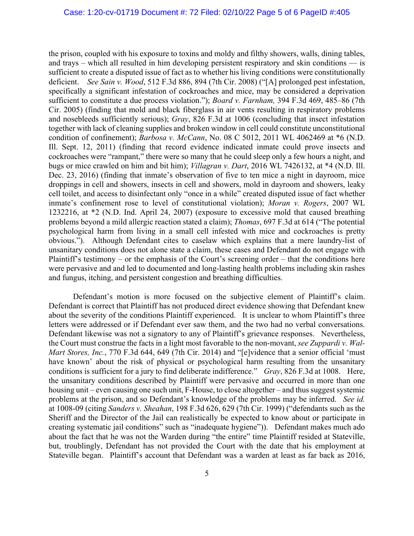the prison, coupled with his exposure to toxins and moldy and filthy showers, walls, dining tables, and trays – which all resulted in him developing persistent respiratory and skin conditions — is sufficient to create a disputed issue of fact as to whether his living conditions were constitutionally deficient. *See Sain v. Wood*, 512 F.3d 886, 894 (7th Cir. 2008) ("[A] prolonged pest infestation, specifically a significant infestation of cockroaches and mice, may be considered a deprivation sufficient to constitute a due process violation."); *Board v. Farnham,* 394 F.3d 469, 485–86 (7th Cir. 2005) (finding that mold and black fiberglass in air vents resulting in respiratory problems and nosebleeds sufficiently serious); *Gray*, 826 F.3d at 1006 (concluding that insect infestation together with lack of cleaning supplies and broken window in cell could constitute unconstitutional condition of confinement); *Barbosa v. McCann*, No. 08 C 5012, 2011 WL 4062469 at \*6 (N.D. Ill. Sept. 12, 2011) (finding that record evidence indicated inmate could prove insects and cockroaches were "rampant," there were so many that he could sleep only a few hours a night, and bugs or mice crawled on him and bit him); *Villagran v. Dart*, 2016 WL 7426132, at \*4 (N.D. Ill. Dec. 23, 2016) (finding that inmate's observation of five to ten mice a night in dayroom, mice droppings in cell and showers, insects in cell and showers, mold in dayroom and showers, leaky cell toilet, and access to disinfectant only "once in a while" created disputed issue of fact whether inmate's confinement rose to level of constitutional violation); *Moran v. Rogers*, 2007 WL 1232216, at \*2 (N.D. Ind. April 24, 2007) (exposure to excessive mold that caused breathing problems beyond a mild allergic reaction stated a claim); *Thomas*, 697 F.3d at 614 ("The potential psychological harm from living in a small cell infested with mice and cockroaches is pretty obvious."). Although Defendant cites to caselaw which explains that a mere laundry-list of unsanitary conditions does not alone state a claim, these cases and Defendant do not engage with Plaintiff's testimony – or the emphasis of the Court's screening order – that the conditions here were pervasive and and led to documented and long-lasting health problems including skin rashes and fungus, itching, and persistent congestion and breathing difficulties.

 Defendant's motion is more focused on the subjective element of Plaintiff's claim. Defendant is correct that Plaintiff has not produced direct evidence showing that Defendant knew about the severity of the conditions Plaintiff experienced. It is unclear to whom Plaintiff's three letters were addressed or if Defendant ever saw them, and the two had no verbal conversations. Defendant likewise was not a signatory to any of Plaintiff's grievance responses. Nevertheless, the Court must construe the facts in a light most favorable to the non-movant, *see Zuppardi v. Wal-Mart Stores, Inc.*, 770 F.3d 644, 649 (7th Cir. 2014) and "[e]vidence that a senior official 'must have known' about the risk of physical or psychological harm resulting from the unsanitary conditions is sufficient for a jury to find deliberate indifference." *Gray*, 826 F.3d at 1008. Here, the unsanitary conditions described by Plaintiff were pervasive and occurred in more than one housing unit – even causing one such unit, F-House, to close altogether – and thus suggest systemic problems at the prison, and so Defendant's knowledge of the problems may be inferred. *See id.* at 1008-09 (citing *Sanders v. Sheahan*, 198 F.3d 626, 629 (7th Cir. 1999) ("defendants such as the Sheriff and the Director of the Jail can realistically be expected to know about or participate in creating systematic jail conditions" such as "inadequate hygiene")). Defendant makes much ado about the fact that he was not the Warden during "the entire" time Plaintiff resided at Stateville, but, troublingly, Defendant has not provided the Court with the date that his employment at Stateville began. Plaintiff's account that Defendant was a warden at least as far back as 2016,